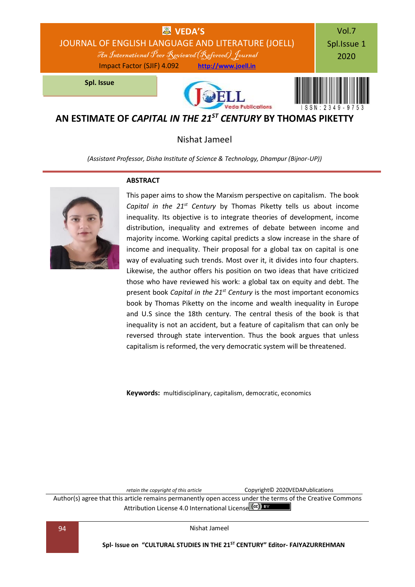

# **AN ESTIMATE OF** *CAPITAL IN THE 21ST CENTURY* **BY THOMAS PIKETTY**

## Nishat Jameel

*(Assistant Professor, Disha Institute of Science & Technology, Dhampur (Bijnor-UP))*



### **ABSTRACT**

This paper aims to show the Marxism perspective on capitalism. The book *Capital in the 21st Century* by Thomas Piketty tells us about income inequality. Its objective is to integrate theories of development, income distribution, inequality and extremes of debate between income and majority income. Working capital predicts a slow increase in the share of income and inequality. Their proposal for a global tax on capital is one way of evaluating such trends. Most over it, it divides into four chapters. Likewise, the author offers his position on two ideas that have criticized those who have reviewed his work: a global tax on equity and debt. The present book *Capital in the 21st Century* is the most important economics book by Thomas Piketty on the income and wealth inequality in Europe and U.S since the 18th century. The central thesis of the book is that inequality is not an accident, but a feature of capitalism that can only be reversed through state intervention. Thus the book argues that unless capitalism is reformed, the very democratic system will be threatened.

**Keywords:** multidisciplinary, capitalism, democratic, economics

*retain the copyright of this article* Copyright© 2020VEDAPublications

Author(s) agree that this article remains permanently open access under the terms of the Creative Commons Attribution Lic[e](http://creativecommons.org/licenses/by/4.0/)nse 4.0 International License (cc) BY

94 Nishat Jameel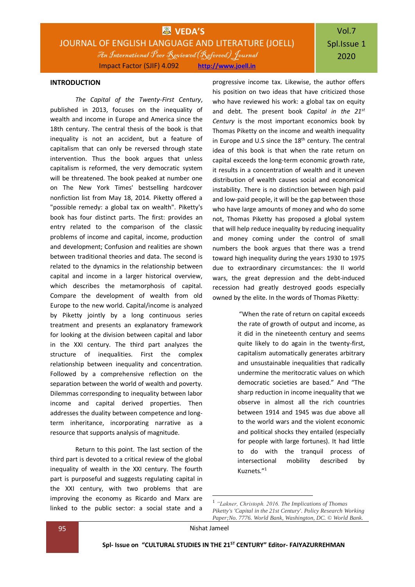# **WEDA'S** JOURNAL OF ENGLISH LANGUAGE AND LITERATURE (JOELL) An International Peer Reviewed(Refereed) Journal Impact Factor (SJIF) 4.092 **[http://www.joell.in](http://www.joell.in/)**

# Vol.7 Spl.Issue 1 2020

#### **INTRODUCTION**

*The Capital of the Twenty-First Century*, published in 2013, focuses on the inequality of wealth and income in Europe and America since the 18th century. The central thesis of the book is that inequality is not an accident, but a feature of capitalism that can only be reversed through state intervention. Thus the book argues that unless capitalism is reformed, the very democratic system will be threatened. The book peaked at number one on The New York Times' bestselling hardcover nonfiction list from May 18, 2014. Piketty offered a "possible remedy: a global tax on wealth". Piketty's book has four distinct parts. The first: provides an entry related to the comparison of the classic problems of income and capital, income, production and development; Confusion and realities are shown between traditional theories and data. The second is related to the dynamics in the relationship between capital and income in a larger historical overview, which describes the metamorphosis of capital. Compare the development of wealth from old Europe to the new world. Capital/income is analyzed by Piketty jointly by a long continuous series treatment and presents an explanatory framework for looking at the division between capital and labor in the XXI century. The third part analyzes the structure of inequalities. First the complex relationship between inequality and concentration. Followed by a comprehensive reflection on the separation between the world of wealth and poverty. Dilemmas corresponding to inequality between labor income and capital derived properties. Then addresses the duality between competence and longterm inheritance, incorporating narrative as a resource that supports analysis of magnitude.

Return to this point. The last section of the third part is devoted to a critical review of the global inequality of wealth in the XXI century. The fourth part is purposeful and suggests regulating capital in the XXI century, with two problems that are improving the economy as Ricardo and Marx are linked to the public sector: a social state and a

progressive income tax. Likewise, the author offers his position on two ideas that have criticized those who have reviewed his work: a global tax on equity and debt. The present book *Capital in the 21st Century* is the most important economics book by Thomas Piketty on the income and wealth inequality in Europe and U.S since the  $18<sup>th</sup>$  century. The central idea of this book is that when the rate return on capital exceeds the long-term economic growth rate, it results in a concentration of wealth and it uneven distribution of wealth causes social and economical instability. There is no distinction between high paid and low-paid people, it will be the gap between those who have large amounts of money and who do some not, Thomas Piketty has proposed a global system that will help reduce inequality by reducing inequality and money coming under the control of small numbers the book argues that there was a trend toward high inequality during the years 1930 to 1975 due to extraordinary circumstances: the II world wars, the great depression and the debt-induced recession had greatly destroyed goods especially owned by the elite. In the words of Thomas Piketty:

> "When the rate of return on capital exceeds the rate of growth of output and income, as it did in the nineteenth century and seems quite likely to do again in the twenty-first, capitalism automatically generates arbitrary and unsustainable inequalities that radically undermine the meritocratic values on which democratic societies are based." And "The sharp reduction in income inequality that we observe in almost all the rich countries between 1914 and 1945 was due above all to the world wars and the violent economic and political shocks they entailed (especially for people with large fortunes). It had little to do with the tranquil process of intersectional mobility described by Kuznets."<sup>1</sup>

1

<sup>1</sup> *"Lakner, Christoph. 2016. The Implications of Thomas Piketty's 'Capital in the 21st Century'. Policy Research Working Paper;No. 7776. World Bank, Washington, DC. © World Bank.*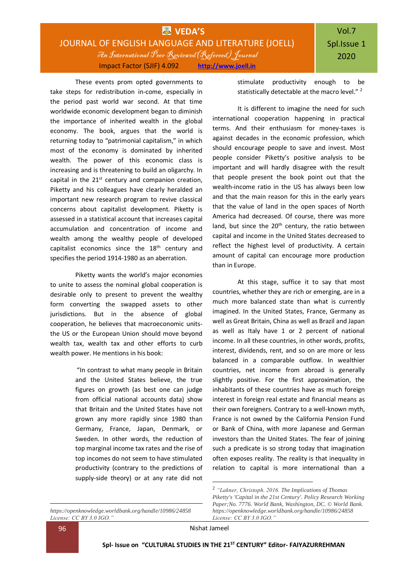These events prom opted governments to take steps for redistribution in-come, especially in the period past world war second. At that time worldwide economic development began to diminish the importance of inherited wealth in the global economy. The book, argues that the world is returning today to "patrimonial capitalism," in which most of the economy is dominated by inherited wealth. The power of this economic class is increasing and is threatening to build an oligarchy. In capital in the  $21<sup>st</sup>$  century and companion creation, Piketty and his colleagues have clearly heralded an important new research program to revive classical concerns about capitalist development. Piketty is assessed in a statistical account that increases capital accumulation and concentration of income and wealth among the wealthy people of developed capitalist economics since the  $18<sup>th</sup>$  century and specifies the period 1914-1980 as an aberration.

Piketty wants the world's major economies to unite to assess the nominal global cooperation is desirable only to present to prevent the wealthy form converting the swapped assets to other jurisdictions. But in the absence of global cooperation, he believes that macroeconomic unitsthe US or the European Union should move beyond wealth tax, wealth tax and other efforts to curb wealth power. He mentions in his book:

> "In contrast to what many people in Britain and the United States believe, the true figures on growth (as best one can judge from official national accounts data) show that Britain and the United States have not grown any more rapidly since 1980 than Germany, France, Japan, Denmark, or Sweden. In other words, the reduction of top marginal income tax rates and the rise of top incomes do not seem to have stimulated productivity (contrary to the predictions of supply-side theory) or at any rate did not

*https://openknowledge.worldbank.org/handle/10986/24858 License: CC BY 3.0 IGO."*

stimulate productivity enough to be statistically detectable at the macro level."<sup>2</sup>

It is different to imagine the need for such international cooperation happening in practical terms. And their enthusiasm for money-taxes is against decades in the economic profession, which should encourage people to save and invest. Most people consider Piketty's positive analysis to be important and will hardly disagree with the result that people present the book point out that the wealth-income ratio in the US has always been low and that the main reason for this in the early years that the value of land in the open spaces of North America had decreased. Of course, there was more land, but since the 20<sup>th</sup> century, the ratio between capital and income in the United States decreased to reflect the highest level of productivity. A certain amount of capital can encourage more production than in Europe.

At this stage, suffice it to say that most countries, whether they are rich or emerging, are in a much more balanced state than what is currently imagined. In the United States, France, Germany as well as Great Britain, China as well as Brazil and Japan as well as Italy have 1 or 2 percent of national income. In all these countries, in other words, profits, interest, dividends, rent, and so on are more or less balanced in a comparable outflow. In wealthier countries, net income from abroad is generally slightly positive. For the first approximation, the inhabitants of these countries have as much foreign interest in foreign real estate and financial means as their own foreigners. Contrary to a well-known myth, France is not owned by the California Pension Fund or Bank of China, with more Japanese and German investors than the United States. The fear of joining such a predicate is so strong today that imagination often exposes reality. The reality is that inequality in relation to capital is more international than a

**.** 

<sup>1</sup> 2 *"Lakner, Christoph. 2016. The Implications of Thomas Piketty's 'Capital in the 21st Century'. Policy Research Working Paper;No. 7776. World Bank, Washington, DC. © World Bank. https://openknowledge.worldbank.org/handle/10986/24858 License: CC BY 3.0 IGO."*